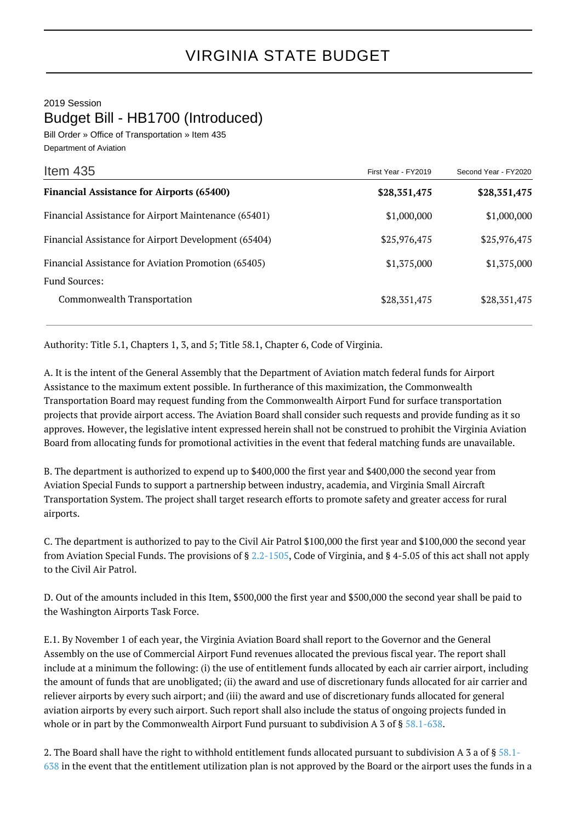2019 Session Budget Bill - HB1700 (Introduced)

Bill Order » Office of Transportation » Item 435 Department of Aviation

| Item $435$                                           | First Year - FY2019 | Second Year - FY2020 |
|------------------------------------------------------|---------------------|----------------------|
| <b>Financial Assistance for Airports (65400)</b>     | \$28,351,475        | \$28,351,475         |
| Financial Assistance for Airport Maintenance (65401) | \$1,000,000         | \$1,000,000          |
| Financial Assistance for Airport Development (65404) | \$25,976,475        | \$25,976,475         |
| Financial Assistance for Aviation Promotion (65405)  | \$1,375,000         | \$1,375,000          |
| <b>Fund Sources:</b>                                 |                     |                      |
| Commonwealth Transportation                          | \$28,351,475        | \$28,351,475         |

Authority: Title 5.1, Chapters 1, 3, and 5; Title 58.1, Chapter 6, Code of Virginia.

A. It is the intent of the General Assembly that the Department of Aviation match federal funds for Airport Assistance to the maximum extent possible. In furtherance of this maximization, the Commonwealth Transportation Board may request funding from the Commonwealth Airport Fund for surface transportation projects that provide airport access. The Aviation Board shall consider such requests and provide funding as it so approves. However, the legislative intent expressed herein shall not be construed to prohibit the Virginia Aviation Board from allocating funds for promotional activities in the event that federal matching funds are unavailable.

B. The department is authorized to expend up to \$400,000 the first year and \$400,000 the second year from Aviation Special Funds to support a partnership between industry, academia, and Virginia Small Aircraft Transportation System. The project shall target research efforts to promote safety and greater access for rural airports.

C. The department is authorized to pay to the Civil Air Patrol \$100,000 the first year and \$100,000 the second year from Aviation Special Funds. The provisions of § [2.2-1505,](http://law.lis.virginia.gov/vacode/2.2-1505/) Code of Virginia, and § 4-5.05 of this act shall not apply to the Civil Air Patrol.

D. Out of the amounts included in this Item, \$500,000 the first year and \$500,000 the second year shall be paid to the Washington Airports Task Force.

E.1. By November 1 of each year, the Virginia Aviation Board shall report to the Governor and the General Assembly on the use of Commercial Airport Fund revenues allocated the previous fiscal year. The report shall include at a minimum the following: (i) the use of entitlement funds allocated by each air carrier airport, including the amount of funds that are unobligated; (ii) the award and use of discretionary funds allocated for air carrier and reliever airports by every such airport; and (iii) the award and use of discretionary funds allocated for general aviation airports by every such airport. Such report shall also include the status of ongoing projects funded in whole or in part by the Commonwealth Airport Fund pursuant to subdivision A 3 of § [58.1-638](http://law.lis.virginia.gov/vacode/58.1-638/).

2. The Board shall have the right to withhold entitlement funds allocated pursuant to subdivision A 3 a of § [58.1-](http://law.lis.virginia.gov/vacode/58.1-638/) [638](http://law.lis.virginia.gov/vacode/58.1-638/) in the event that the entitlement utilization plan is not approved by the Board or the airport uses the funds in a